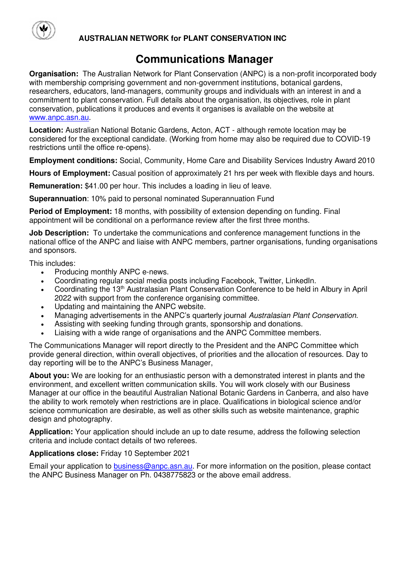

## **AUSTRALIAN NETWORK for PLANT CONSERVATION INC**

# **Communications Manager**

**Organisation:** The Australian Network for Plant Conservation (ANPC) is a non-profit incorporated body with membership comprising government and non-government institutions, botanical gardens, researchers, educators, land-managers, community groups and individuals with an interest in and a commitment to plant conservation. Full details about the organisation, its objectives, role in plant conservation, publications it produces and events it organises is available on the website at [www.anpc.asn.au.](http://www.anpc.asn.au/)

**Location:** Australian National Botanic Gardens, Acton, ACT - although remote location may be considered for the exceptional candidate. (Working from home may also be required due to COVID-19 restrictions until the office re-opens).

**Employment conditions:** Social, Community, Home Care and Disability Services Industry Award 2010

**Hours of Employment:** Casual position of approximately 21 hrs per week with flexible days and hours.

**Remuneration:** \$41.00 per hour. This includes a loading in lieu of leave.

**Superannuation**: 10% paid to personal nominated Superannuation Fund

**Period of Employment:** 18 months, with possibility of extension depending on funding. Final appointment will be conditional on a performance review after the first three months.

**Job Description:** To undertake the communications and conference management functions in the national office of the ANPC and liaise with ANPC members, partner organisations, funding organisations and sponsors.

This includes:

- Producing monthly ANPC e-news.
- Coordinating regular social media posts including Facebook, Twitter, LinkedIn.
- Coordinating the 13<sup>th</sup> Australasian Plant Conservation Conference to be held in Albury in April 2022 with support from the conference organising committee.
- Updating and maintaining the ANPC website.
- Managing advertisements in the ANPC's quarterly journal Australasian Plant Conservation.
- Assisting with seeking funding through grants, sponsorship and donations.
- Liaising with a wide range of organisations and the ANPC Committee members.

The Communications Manager will report directly to the President and the ANPC Committee which provide general direction, within overall objectives, of priorities and the allocation of resources. Day to day reporting will be to the ANPC's Business Manager,

**About you:** We are looking for an enthusiastic person with a demonstrated interest in plants and the environment, and excellent written communication skills. You will work closely with our Business Manager at our office in the beautiful Australian National Botanic Gardens in Canberra, and also have the ability to work remotely when restrictions are in place. Qualifications in biological science and/or science communication are desirable, as well as other skills such as website maintenance, graphic design and photography.

**Application:** Your application should include an up to date resume, address the following selection criteria and include contact details of two referees.

### **Applications close:** Friday 10 September 2021

Email your application to [business@anpc.asn.au.](mailto:business@anpc.asn.au) For more information on the position, please contact the ANPC Business Manager on Ph. 0438775823 or the above email address.